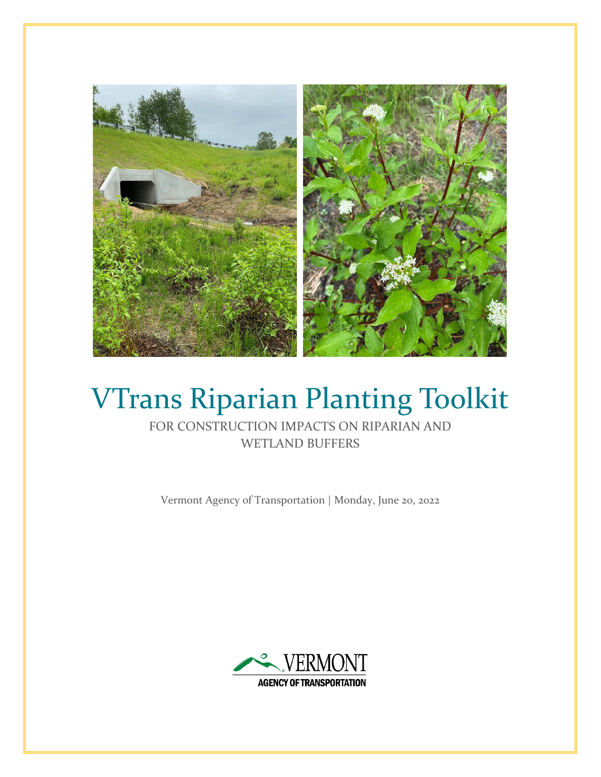

# VTrans Riparian Planting Toolkit

FOR CONSTRUCTION IMPACTS ON RIPARIAN AND WETLAND BUFFERS

Vermont Agency of Transportation | Monday, June 20, 2022

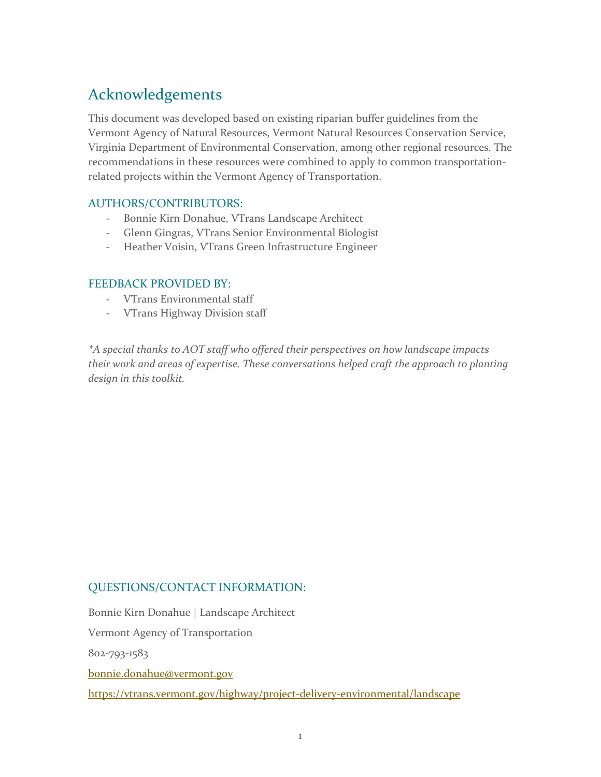# Acknowledgements

This document was developed based on existing riparian buffer guidelines from the Vermont Agency of Natural Resources, Vermont Natural Resources Conservation Service, Virginia Department of Environmental Conservation, among other regional resources. The recommendations in these resources were combined to apply to common transportationrelated projects within the Vermont Agency of Transportation.

## AUTHORS/CONTRIBUTORS:

- Bonnie Kirn Donahue, VTrans Landscape Architect
- Glenn Gingras, VTrans Senior Environmental Biologist
- Heather Voisin, VTrans Green Infrastructure Engineer

## FEEDBACK PROVIDED BY:

- VTrans Environmental staff
- VTrans Highway Division staff

*\*A special thanks to AOT staff who offered their perspectives on how landscape impacts their work and areas of expertise. These conversations helped craft the approach to planting design in this toolkit.*

## QUESTIONS/CONTACT INFORMATION:

Bonnie Kirn Donahue | Landscape Architect Vermont Agency of Transportation 802-793-1583 [bonnie.donahue@vermont.gov](mailto:bonnie.donahue@vermont.gov) <https://vtrans.vermont.gov/highway/project-delivery-environmental/landscape>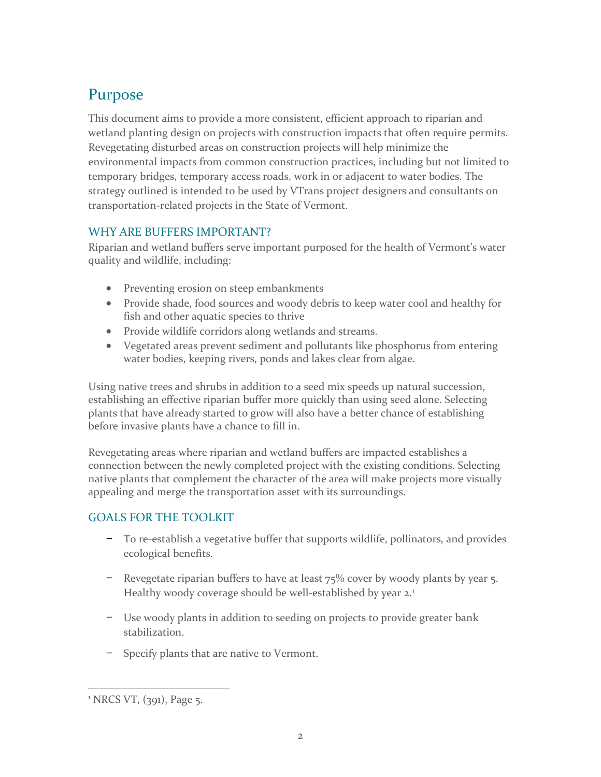# Purpose

This document aims to provide a more consistent, efficient approach to riparian and wetland planting design on projects with construction impacts that often require permits. Revegetating disturbed areas on construction projects will help minimize the environmental impacts from common construction practices, including but not limited to temporary bridges, temporary access roads, work in or adjacent to water bodies. The strategy outlined is intended to be used by VTrans project designers and consultants on transportation-related projects in the State of Vermont.

## WHY ARE BUFFERS IMPORTANT?

Riparian and wetland buffers serve important purposed for the health of Vermont's water quality and wildlife, including:

- Preventing erosion on steep embankments
- Provide shade, food sources and woody debris to keep water cool and healthy for fish and other aquatic species to thrive
- Provide wildlife corridors along wetlands and streams.
- Vegetated areas prevent sediment and pollutants like phosphorus from entering water bodies, keeping rivers, ponds and lakes clear from algae.

Using native trees and shrubs in addition to a seed mix speeds up natural succession, establishing an effective riparian buffer more quickly than using seed alone. Selecting plants that have already started to grow will also have a better chance of establishing before invasive plants have a chance to fill in.

Revegetating areas where riparian and wetland buffers are impacted establishes a connection between the newly completed project with the existing conditions. Selecting native plants that complement the character of the area will make projects more visually appealing and merge the transportation asset with its surroundings.

## GOALS FOR THE TOOLKIT

- − To re-establish a vegetative buffer that supports wildlife, pollinators, and provides ecological benefits.
- − Revegetate riparian buffers to have at least 75% cover by woody plants by year 5. Healthy woody coverage should be well-established by year 2.<sup>[1](#page-2-0)</sup>
- − Use woody plants in addition to seeding on projects to provide greater bank stabilization.
- − Specify plants that are native to Vermont.

<span id="page-2-0"></span> $^{1}$  NRCS VT,  $(391)$ , Page 5.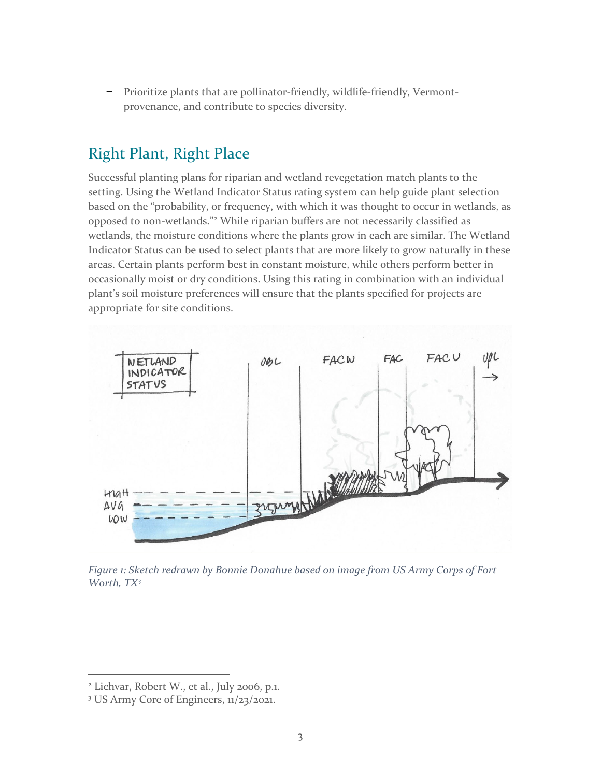− Prioritize plants that are pollinator-friendly, wildlife-friendly, Vermontprovenance, and contribute to species diversity.

## Right Plant, Right Place

Successful planting plans for riparian and wetland revegetation match plants to the setting. Using the Wetland Indicator Status rating system can help guide plant selection based on the "probability, or frequency, with which it was thought to occur in wetlands, as opposed to non-wetlands."[2](#page-3-0) While riparian buffers are not necessarily classified as wetlands, the moisture conditions where the plants grow in each are similar. The Wetland Indicator Status can be used to select plants that are more likely to grow naturally in these areas. Certain plants perform best in constant moisture, while others perform better in occasionally moist or dry conditions. Using this rating in combination with an individual plant's soil moisture preferences will ensure that the plants specified for projects are appropriate for site conditions.



*Figure 1: Sketch redrawn by Bonnie Donahue based on image from US Army Corps of Fort Worth, TX[3](#page-3-1)*

<span id="page-3-0"></span><sup>2</sup> Lichvar, Robert W., et al., July 2006, p.1.

<span id="page-3-1"></span><sup>3</sup> US Army Core of Engineers, 11/23/2021.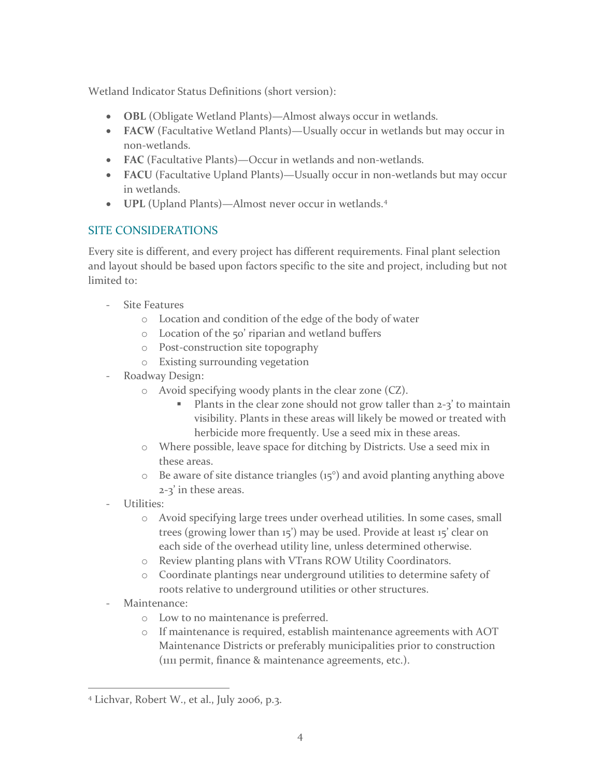Wetland Indicator Status Definitions (short version):

- **OBL** (Obligate Wetland Plants)—Almost always occur in wetlands.
- **FACW** (Facultative Wetland Plants)—Usually occur in wetlands but may occur in non-wetlands.
- **FAC** (Facultative Plants)—Occur in wetlands and non-wetlands.
- **FACU** (Facultative Upland Plants)—Usually occur in non-wetlands but may occur in wetlands.
- **UPL** (Upland Plants)—Almost never occur in wetlands.[4](#page-4-0)

## SITE CONSIDERATIONS

Every site is different, and every project has different requirements. Final plant selection and layout should be based upon factors specific to the site and project, including but not limited to:

- Site Features
	- o Location and condition of the edge of the body of water
	- o Location of the 50' riparian and wetland buffers
	- o Post-construction site topography
	- o Existing surrounding vegetation
- Roadway Design:
	- o Avoid specifying woody plants in the clear zone (CZ).
		- Plants in the clear zone should not grow taller than 2-3' to maintain visibility. Plants in these areas will likely be mowed or treated with herbicide more frequently. Use a seed mix in these areas.
	- o Where possible, leave space for ditching by Districts. Use a seed mix in these areas.
	- $\circ$  Be aware of site distance triangles ( $15^{\circ}$ ) and avoid planting anything above 2-3' in these areas.
- Utilities:
	- o Avoid specifying large trees under overhead utilities. In some cases, small trees (growing lower than 15') may be used. Provide at least 15' clear on each side of the overhead utility line, unless determined otherwise.
	- o Review planting plans with VTrans ROW Utility Coordinators.
	- o Coordinate plantings near underground utilities to determine safety of roots relative to underground utilities or other structures.
- Maintenance:
	- o Low to no maintenance is preferred.
	- o If maintenance is required, establish maintenance agreements with AOT Maintenance Districts or preferably municipalities prior to construction (1111 permit, finance & maintenance agreements, etc.).

<span id="page-4-0"></span><sup>4</sup> Lichvar, Robert W., et al., July 2006, p.3.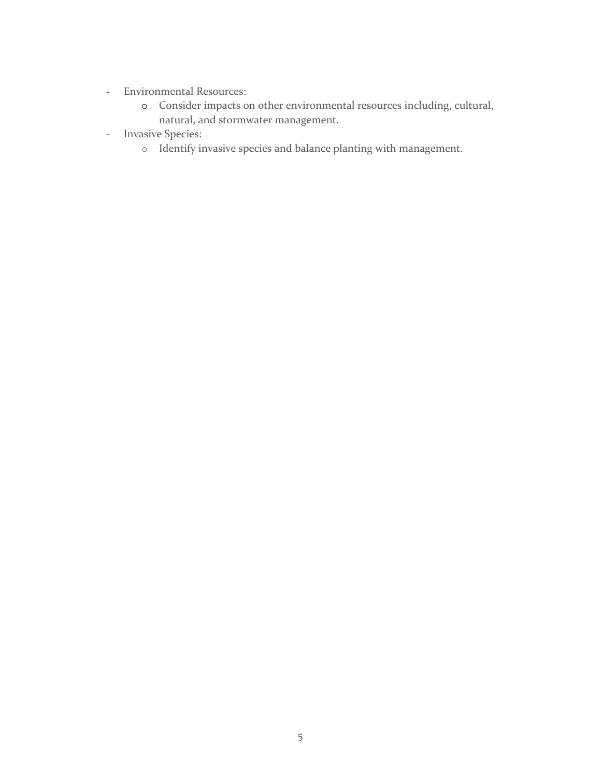- Environmental Resources:
	- o Consider impacts on other environmental resources including, cultural, natural, and stormwater management.
- Invasive Species:
	- o Identify invasive species and balance planting with management.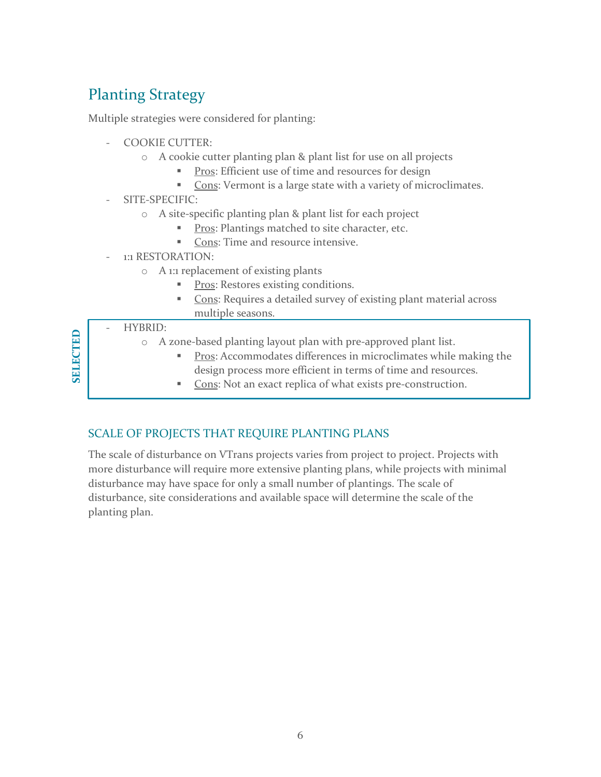# Planting Strategy

Multiple strategies were considered for planting:

- COOKIE CUTTER:
	- o A cookie cutter planting plan & plant list for use on all projects
		- **Pros:** Efficient use of time and resources for design
		- Cons: Vermont is a large state with a variety of microclimates.
- SITE-SPECIFIC:
	- o A site-specific planting plan & plant list for each project
		- Pros: Plantings matched to site character, etc.
		- Cons: Time and resource intensive.
- 1:1 RESTORATION:
	- o A 1:1 replacement of existing plants
		- Pros: Restores existing conditions.
		- Cons: Requires a detailed survey of existing plant material across multiple seasons.

## - HYBRID:

- o A zone-based planting layout plan with pre-approved plant list.
	- **Pros:** Accommodates differences in microclimates while making the design process more efficient in terms of time and resources.
	- Cons: Not an exact replica of what exists pre-construction.

## SCALE OF PROJECTS THAT REQUIRE PLANTING PLANS

The scale of disturbance on VTrans projects varies from project to project. Projects with more disturbance will require more extensive planting plans, while projects with minimal disturbance may have space for only a small number of plantings. The scale of disturbance, site considerations and available space will determine the scale of the planting plan.

**SELECTEDSELECTED**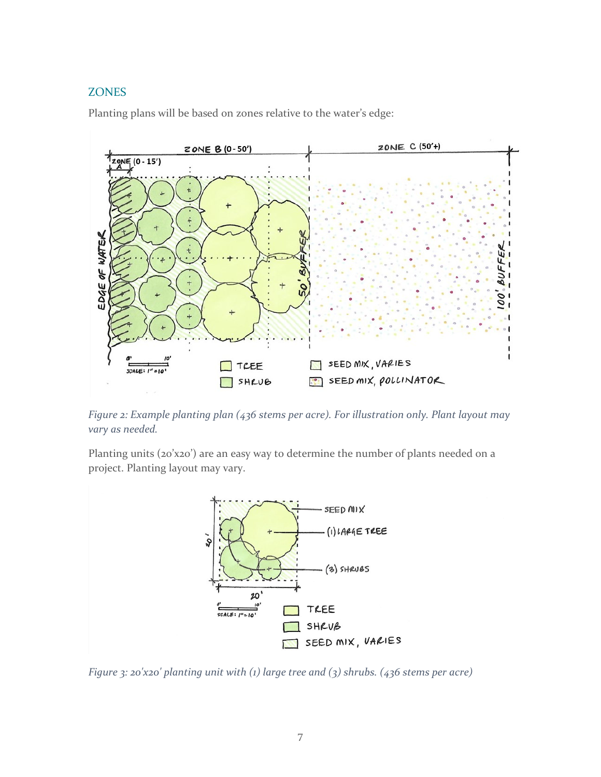## **ZONES**

Planting plans will be based on zones relative to the water's edge:



*Figure 2: Example planting plan (436 stems per acre). For illustration only. Plant layout may vary as needed.*

Planting units (20'x20') are an easy way to determine the number of plants needed on a project. Planting layout may vary.



*Figure 3: 20'x20' planting unit with (1) large tree and (3) shrubs. (436 stems per acre)*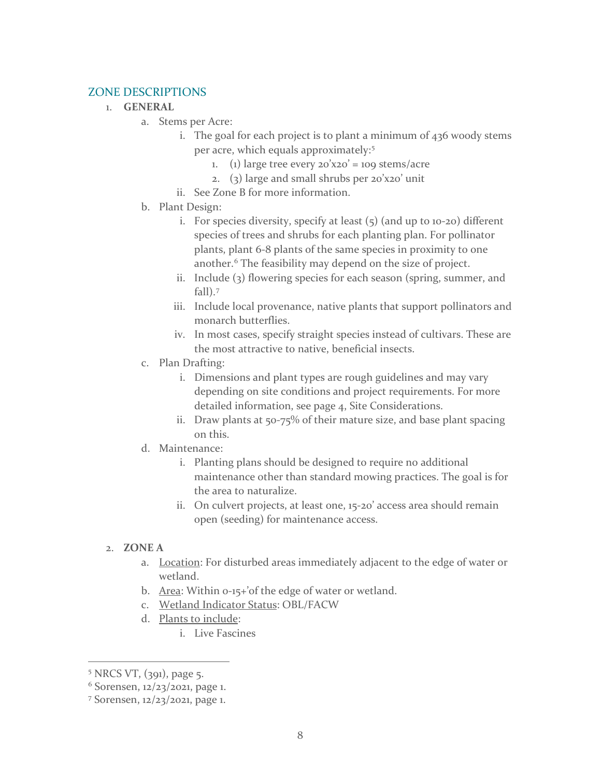## ZONE DESCRIPTIONS

#### 1. **GENERAL**

- a. Stems per Acre:
	- i. The goal for each project is to plant a minimum of 436 woody stems per acre, which equals approximately: [5](#page-8-0)
		- 1. (1) large tree every  $20'x20' = 109$  stems/acre
		- 2. (3) large and small shrubs per 20'x20' unit
	- ii. See Zone B for more information.
- b. Plant Design:
	- i. For species diversity, specify at least  $(5)$  (and up to 10-20) different species of trees and shrubs for each planting plan. For pollinator plants, plant 6-8 plants of the same species in proximity to one another.<sup>[6](#page-8-1)</sup> The feasibility may depend on the size of project.
	- ii. Include (3) flowering species for each season (spring, summer, and fall).[7](#page-8-2)
	- iii. Include local provenance, native plants that support pollinators and monarch butterflies.
	- iv. In most cases, specify straight species instead of cultivars. These are the most attractive to native, beneficial insects.
- c. Plan Drafting:
	- i. Dimensions and plant types are rough guidelines and may vary depending on site conditions and project requirements. For more detailed information, see page 4, Site Considerations.
	- ii. Draw plants at 50-75% of their mature size, and base plant spacing on this.
- d. Maintenance:
	- i. Planting plans should be designed to require no additional maintenance other than standard mowing practices. The goal is for the area to naturalize.
	- ii. On culvert projects, at least one, 15-20' access area should remain open (seeding) for maintenance access.

#### 2. **ZONE A**

- a. Location: For disturbed areas immediately adjacent to the edge of water or wetland.
- b. Area: Within 0-15+'of the edge of water or wetland.
- c. Wetland Indicator Status: OBL/FACW
- d. Plants to include:
	- i. Live Fascines

<span id="page-8-1"></span><span id="page-8-0"></span><sup>&</sup>lt;sup>5</sup> NRCS VT, (391), page 5.

 $6$  Sorensen,  $12/23/2021$ , page 1.

<span id="page-8-2"></span><sup>7</sup> Sorensen, 12/23/2021, page 1.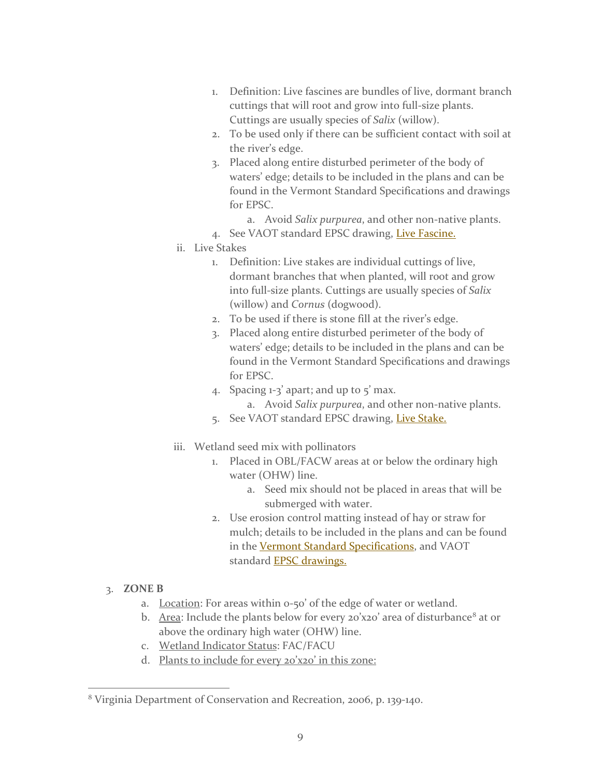- 1. Definition: Live fascines are bundles of live, dormant branch cuttings that will root and grow into full-size plants. Cuttings are usually species of *Salix* (willow).
- 2. To be used only if there can be sufficient contact with soil at the river's edge.
- 3. Placed along entire disturbed perimeter of the body of waters' edge; details to be included in the plans and can be found in the Vermont Standard Specifications and drawings for EPSC.
	- a. Avoid *Salix purpurea*, and other non-native plants.
- 4. See VAOT standard EPSC drawing, [Live Fascine.](https://outside.vermont.gov/agency/vtrans/external/CADD/WebFiles/pdf/EPSC_2009.pdf)
- ii. Live Stakes
	- 1. Definition: Live stakes are individual cuttings of live, dormant branches that when planted, will root and grow into full-size plants. Cuttings are usually species of *Salix* (willow) and *Cornus* (dogwood).
	- 2. To be used if there is stone fill at the river's edge.
	- 3. Placed along entire disturbed perimeter of the body of waters' edge; details to be included in the plans and can be found in the Vermont Standard Specifications and drawings for EPSC.
	- 4. Spacing  $1-3$  apart; and up to  $5'$  max. a. Avoid *Salix purpurea*, and other non-native plants.
	- 5. See VAOT standard EPSC drawing, [Live Stake.](https://outside.vermont.gov/agency/vtrans/external/CADD/WebFiles/pdf/EPSC_2009.pdf)
- iii. Wetland seed mix with pollinators
	- 1. Placed in OBL/FACW areas at or below the ordinary high water (OHW) line.
		- a. Seed mix should not be placed in areas that will be submerged with water.
	- 2. Use erosion control matting instead of hay or straw for mulch; details to be included in the plans and can be found in the [Vermont Standard Specifications,](https://vtrans.vermont.gov/highway/construct-material/construct-services/pre-contractspecifications/active) and VAOT standard **EPSC** drawings.
- 3. **ZONE B**
	- a. Location: For areas within o-50' of the edge of water or wetland.
	- b. Area: Include the plants below for every 20'x20' area of disturbance<sup>[8](#page-9-0)</sup> at or above the ordinary high water (OHW) line.
	- c. Wetland Indicator Status: FAC/FACU
	- d. Plants to include for every 20'x20' in this zone:

<span id="page-9-0"></span><sup>8</sup> Virginia Department of Conservation and Recreation, 2006, p. 139-140.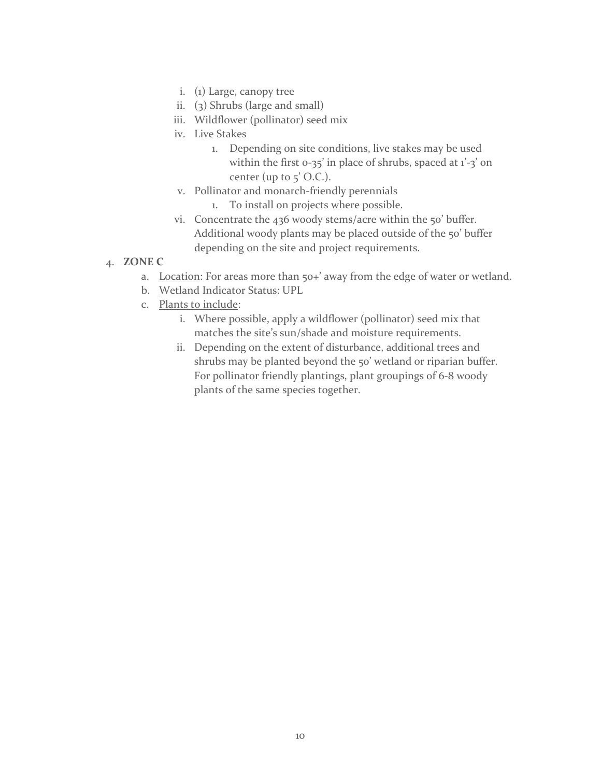- i. (1) Large, canopy tree
- ii. (3) Shrubs (large and small)
- iii. Wildflower (pollinator) seed mix
- iv. Live Stakes
	- 1. Depending on site conditions, live stakes may be used within the first  $0-35'$  in place of shrubs, spaced at  $1'-3'$  on center (up to  $5'$  O.C.).
- v. Pollinator and monarch-friendly perennials
	- 1. To install on projects where possible.
- vi. Concentrate the 436 woody stems/acre within the 50' buffer. Additional woody plants may be placed outside of the 50' buffer depending on the site and project requirements.
- 4. **ZONE C**
	- a. Location: For areas more than 50+' away from the edge of water or wetland.
	- b. Wetland Indicator Status: UPL
	- c. Plants to include:
		- i. Where possible, apply a wildflower (pollinator) seed mix that matches the site's sun/shade and moisture requirements.
		- ii. Depending on the extent of disturbance, additional trees and shrubs may be planted beyond the 50' wetland or riparian buffer. For pollinator friendly plantings, plant groupings of 6-8 woody plants of the same species together.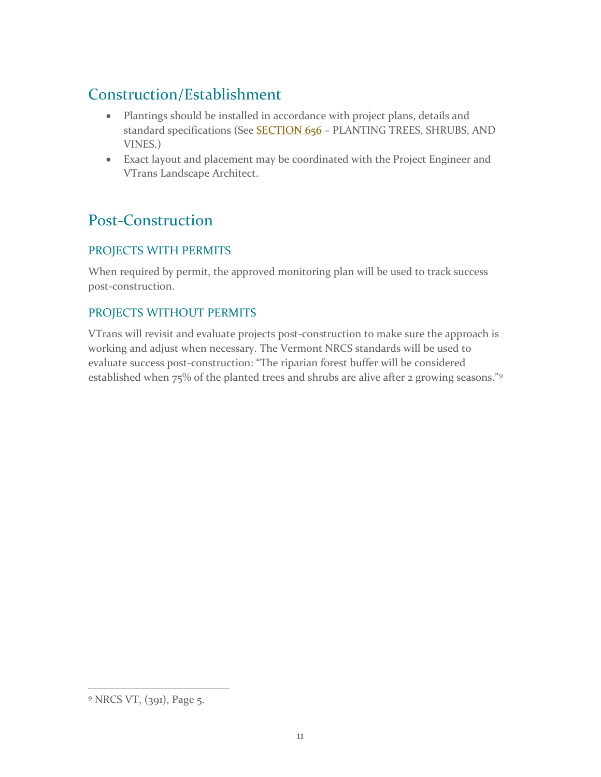# Construction/Establishment

- Plantings should be installed in accordance with project plans, details and standard specifications (See **[SECTION 656](https://outside.vermont.gov/agency/VTRANS/external/docs/construction/02ConstrServ/PreContract/2018SpecBook/2018%20Standard%20Specifications%20for%20Construction.pdf)** – PLANTING TREES, SHRUBS, AND VINES.)
- Exact layout and placement may be coordinated with the Project Engineer and VTrans Landscape Architect.

# Post-Construction

## PROJECTS WITH PERMITS

When required by permit, the approved monitoring plan will be used to track success post-construction.

## PROJECTS WITHOUT PERMITS

VTrans will revisit and evaluate projects post-construction to make sure the approach is working and adjust when necessary. The Vermont NRCS standards will be used to evaluate success post-construction: "The riparian forest buffer will be considered established when 75% of the planted trees and shrubs are alive after 2 growing seasons."<sup>[9](#page-11-0)</sup>

<span id="page-11-0"></span><sup>&</sup>lt;sup>9</sup> NRCS VT, (391), Page 5.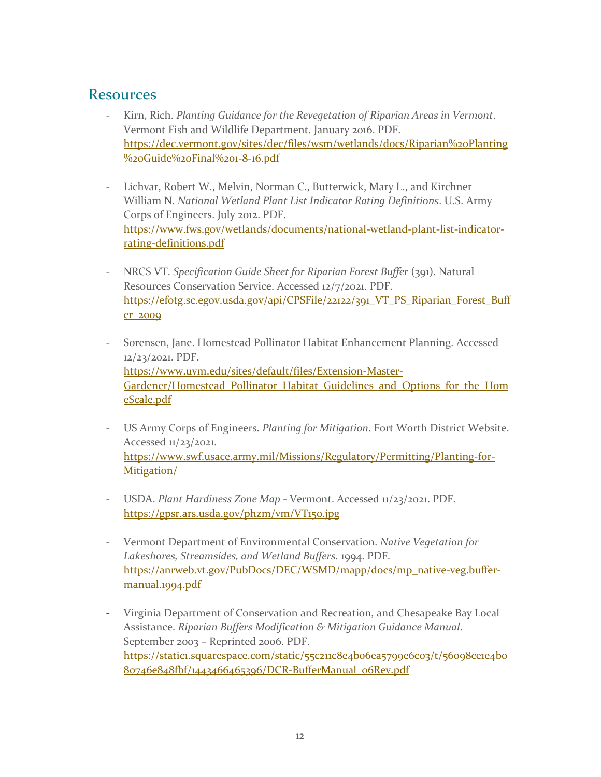## Resources

- Kirn, Rich. *Planting Guidance for the Revegetation of Riparian Areas in Vermont*. Vermont Fish and Wildlife Department. January 2016. PDF. [https://dec.vermont.gov/sites/dec/files/wsm/wetlands/docs/Riparian%20Planting](https://dec.vermont.gov/sites/dec/files/wsm/wetlands/docs/Riparian%20Planting%20Guide%20Final%201-8-16.pdf) [%20Guide%20Final%201-8-16.pdf](https://dec.vermont.gov/sites/dec/files/wsm/wetlands/docs/Riparian%20Planting%20Guide%20Final%201-8-16.pdf)
- Lichvar, Robert W., Melvin, Norman C., Butterwick, Mary L., and Kirchner William N. *National Wetland Plant List Indicator Rating Definitions*. U.S. Army Corps of Engineers. July 2012. PDF. [https://www.fws.gov/wetlands/documents/national-wetland-plant-list-indicator](https://www.fws.gov/wetlands/documents/national-wetland-plant-list-indicator-rating-definitions.pdf)[rating-definitions.pdf](https://www.fws.gov/wetlands/documents/national-wetland-plant-list-indicator-rating-definitions.pdf)
- NRCS VT. *Specification Guide Sheet for Riparian Forest Buffer* (391). Natural Resources Conservation Service. Accessed 12/7/2021. PDF. [https://efotg.sc.egov.usda.gov/api/CPSFile/22122/391\\_VT\\_PS\\_Riparian\\_Forest\\_Buff](https://efotg.sc.egov.usda.gov/api/CPSFile/22122/391_VT_PS_Riparian_Forest_Buffer_2009) [er\\_2009](https://efotg.sc.egov.usda.gov/api/CPSFile/22122/391_VT_PS_Riparian_Forest_Buffer_2009)
- Sorensen, Jane. Homestead Pollinator Habitat Enhancement Planning. Accessed 12/23/2021. PDF. [https://www.uvm.edu/sites/default/files/Extension-Master-](https://www.uvm.edu/sites/default/files/Extension-Master-Gardener/Homestead_Pollinator_Habitat_Guidelines_and_Options_for_the_HomeScale.pdf)[Gardener/Homestead\\_Pollinator\\_Habitat\\_Guidelines\\_and\\_Options\\_for\\_the\\_Hom](https://www.uvm.edu/sites/default/files/Extension-Master-Gardener/Homestead_Pollinator_Habitat_Guidelines_and_Options_for_the_HomeScale.pdf) [eScale.pdf](https://www.uvm.edu/sites/default/files/Extension-Master-Gardener/Homestead_Pollinator_Habitat_Guidelines_and_Options_for_the_HomeScale.pdf)
- US Army Corps of Engineers. *Planting for Mitigation*. Fort Worth District Website. Accessed 11/23/2021. [https://www.swf.usace.army.mil/Missions/Regulatory/Permitting/Planting-for-](https://www.swf.usace.army.mil/Missions/Regulatory/Permitting/Planting-for-Mitigation/)[Mitigation/](https://www.swf.usace.army.mil/Missions/Regulatory/Permitting/Planting-for-Mitigation/)
- USDA. *Plant Hardiness Zone Map* Vermont. Accessed 11/23/2021. PDF. <https://gpsr.ars.usda.gov/phzm/vm/VT150.jpg>
- Vermont Department of Environmental Conservation. *Native Vegetation for Lakeshores, Streamsides, and Wetland Buffers*. 1994. PDF. [https://anrweb.vt.gov/PubDocs/DEC/WSMD/mapp/docs/mp\\_native-veg.buffer](https://anrweb.vt.gov/PubDocs/DEC/WSMD/mapp/docs/mp_native-veg.buffer-manual.1994.pdf)[manual.1994.pdf](https://anrweb.vt.gov/PubDocs/DEC/WSMD/mapp/docs/mp_native-veg.buffer-manual.1994.pdf)
- Virginia Department of Conservation and Recreation, and Chesapeake Bay Local Assistance. *Riparian Buffers Modification & Mitigation Guidance Manual*. September 2003 – Reprinted 2006. PDF. [https://static1.squarespace.com/static/55c211c8e4b06ea5799e6c03/t/56098ce1e4b0](https://static1.squarespace.com/static/55c211c8e4b06ea5799e6c03/t/56098ce1e4b080746e848fbf/1443466465396/DCR-BufferManual_06Rev.pdf) [80746e848fbf/1443466465396/DCR-BufferManual\\_06Rev.pdf](https://static1.squarespace.com/static/55c211c8e4b06ea5799e6c03/t/56098ce1e4b080746e848fbf/1443466465396/DCR-BufferManual_06Rev.pdf)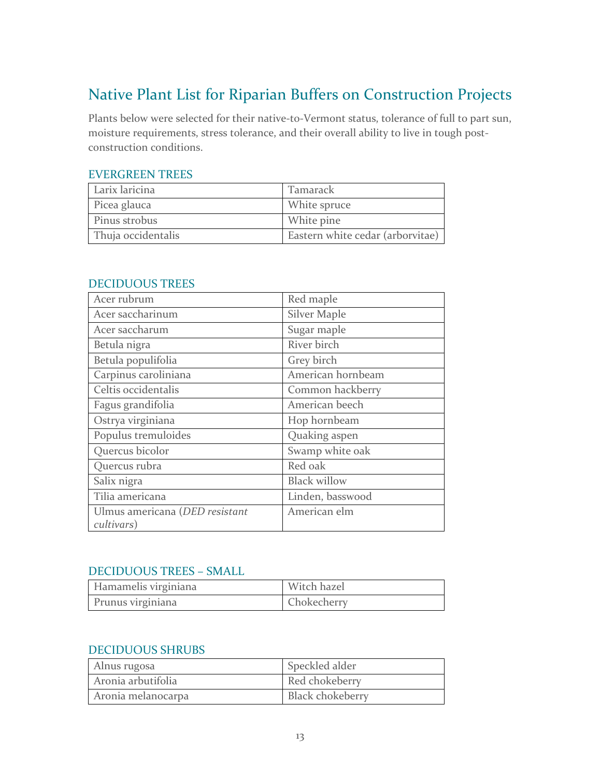# Native Plant List for Riparian Buffers on Construction Projects

Plants below were selected for their native-to-Vermont status, tolerance of full to part sun, moisture requirements, stress tolerance, and their overall ability to live in tough postconstruction conditions.

## EVERGREEN TREES

| Larix laricina     | Tamarack                         |
|--------------------|----------------------------------|
| Picea glauca       | White spruce                     |
| Pinus strobus      | White pine                       |
| Thuja occidentalis | Eastern white cedar (arborvitae) |

| Acer rubrum                                  | Red maple           |
|----------------------------------------------|---------------------|
| Acer saccharinum                             | <b>Silver Maple</b> |
| Acer saccharum                               | Sugar maple         |
| Betula nigra                                 | River birch         |
| Betula populifolia                           | Grey birch          |
| Carpinus caroliniana                         | American hornbeam   |
| Celtis occidentalis                          | Common hackberry    |
| Fagus grandifolia                            | American beech      |
| Ostrya virginiana                            | Hop hornbeam        |
| Populus tremuloides                          | Quaking aspen       |
| Quercus bicolor                              | Swamp white oak     |
| Quercus rubra                                | Red oak             |
| Salix nigra                                  | <b>Black willow</b> |
| Tilia americana                              | Linden, basswood    |
| Ulmus americana (DED resistant<br>cultivars) | American elm        |

#### DECIDUOUS TREES

### DECIDUOUS TREES – SMALL

| Hamamelis virginiana | Witch hazel |
|----------------------|-------------|
| Prunus virginiana    | Chokecherry |

## DECIDUOUS SHRUBS

| Alnus rugosa       | Speckled alder   |
|--------------------|------------------|
| Aronia arbutifolia | Red chokeberry   |
| Aronia melanocarpa | Black chokeberry |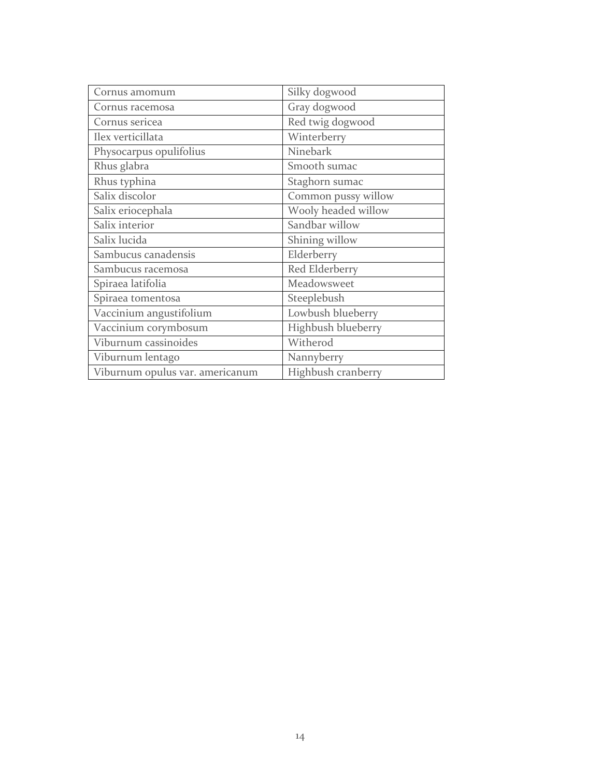| Cornus amomum                   | Silky dogwood       |
|---------------------------------|---------------------|
| Cornus racemosa                 | Gray dogwood        |
| Cornus sericea                  | Red twig dogwood    |
| Ilex verticillata               | Winterberry         |
| Physocarpus opulifolius         | Ninebark            |
| Rhus glabra                     | Smooth sumac        |
| Rhus typhina                    | Staghorn sumac      |
| Salix discolor                  | Common pussy willow |
| Salix eriocephala               | Wooly headed willow |
| Salix interior                  | Sandbar willow      |
| Salix lucida                    | Shining willow      |
| Sambucus canadensis             | Elderberry          |
| Sambucus racemosa               | Red Elderberry      |
| Spiraea latifolia               | Meadowsweet         |
| Spiraea tomentosa               | Steeplebush         |
| Vaccinium angustifolium         | Lowbush blueberry   |
| Vaccinium corymbosum            | Highbush blueberry  |
| Viburnum cassinoides            | Witherod            |
| Viburnum lentago                | Nannyberry          |
| Viburnum opulus var. americanum | Highbush cranberry  |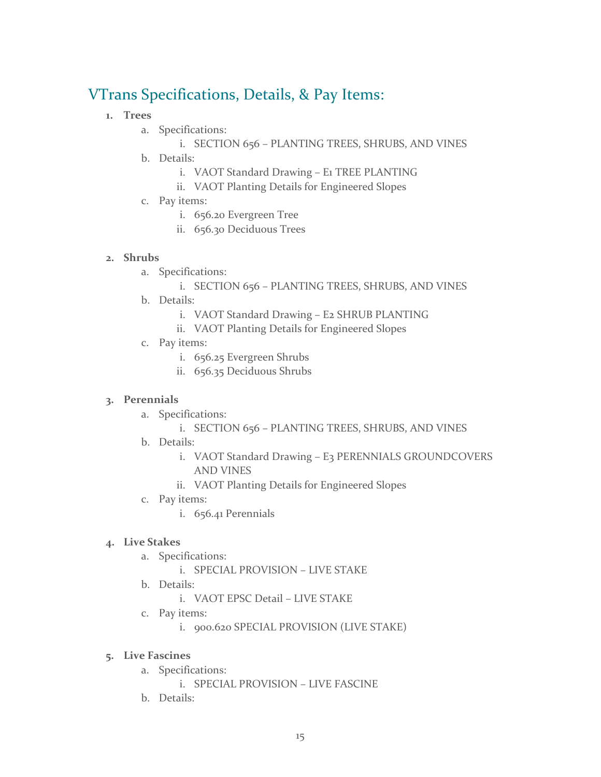# VTrans Specifications, Details, & Pay Items:

- **1. Trees**
	- a. Specifications:
		- i. SECTION 656 PLANTING TREES, SHRUBS, AND VINES
	- b. Details:
		- i. VAOT Standard Drawing E1 TREE PLANTING
		- ii. VAOT Planting Details for Engineered Slopes
	- c. Pay items:
		- i. 656.20 Evergreen Tree
		- ii. 656.30 Deciduous Trees

## **2. Shrubs**

a. Specifications:

## i. SECTION 656 – PLANTING TREES, SHRUBS, AND VINES

- b. Details:
	- i. VAOT Standard Drawing E2 SHRUB PLANTING
	- ii. VAOT Planting Details for Engineered Slopes
- c. Pay items:
	- i. 656.25 Evergreen Shrubs
	- ii. 656.35 Deciduous Shrubs

#### **3. Perennials**

- a. Specifications:
	- i. SECTION 656 PLANTING TREES, SHRUBS, AND VINES
- b. Details:
	- i. VAOT Standard Drawing E3 PERENNIALS GROUNDCOVERS AND VINES
	- ii. VAOT Planting Details for Engineered Slopes
- c. Pay items:
	- i. 656.41 Perennials

## **4. Live Stakes**

- a. Specifications:
	- i. SPECIAL PROVISION LIVE STAKE
- b. Details:
	- i. VAOT EPSC Detail LIVE STAKE
- c. Pay items:
	- i. 900.620 SPECIAL PROVISION (LIVE STAKE)

#### **5. Live Fascines**

- a. Specifications:
	- i. SPECIAL PROVISION LIVE FASCINE
- b. Details: